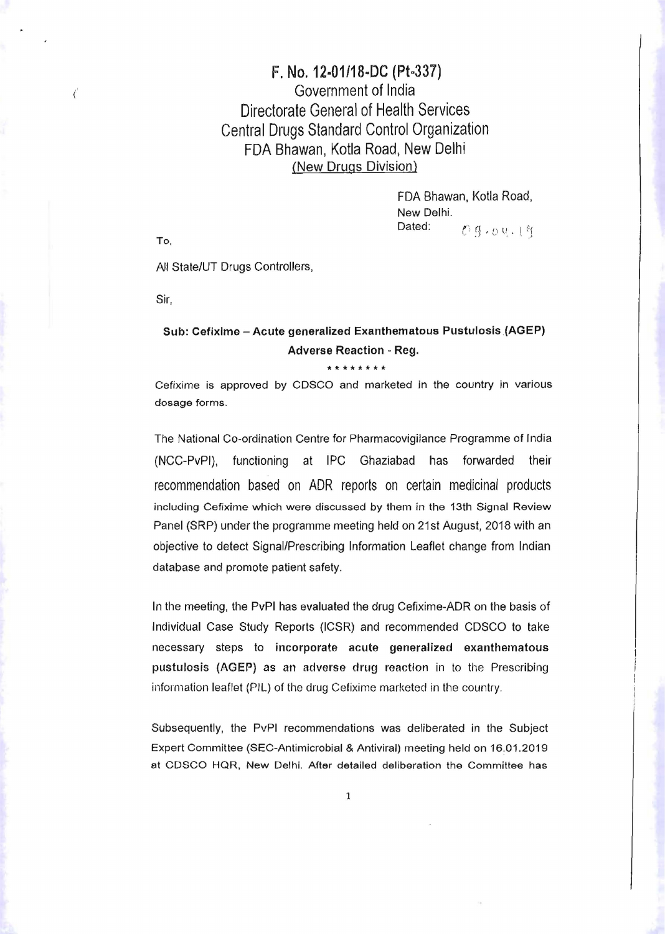## $F.$  No. 12-01/18-DC (Pt-337)  $\epsilon$  Government of India Directorate General of Health Services Central Drugs Standard Control Organization FDA Bhawan, Kotla Road, New Delhi (New Drugs Division}

FDA Bhawan, Kotla Road, New Delhi. Dated:  $\mathcal{O}(q \cdot 1) \cup \mathcal{O}(q \cdot 1)$ 

To,

All State/UT Drugs Controllers,

Sir,

## Sub: Cefixlme - Acute generalized Exanthematous Pustulosis (AGEP) Adverse Reaction - Reg.

## \*\*\*\*\*\*\*

Cefixime is approved by CDSCO and marketed in the country in various dosage forms.

The National Co-ordination Centre for Pharmacovigilance Programme of India (NCC-PvPI), functioning at IPC Ghaziabad has forwarded their recommendation based on ADR reports on certain medicinal products including Cefixime which were discussed by them in the 13th Signal Review Panel (SRP) under the programme meeting held on 21st August, 2018 with an objective to detect Signal/Prescribing Information Leaflet change from Indian database and promote patient safety.

In the meeting, the PvPI has evaluated the drug Cefixime-ADR on the basis of Individual Case Study Reports (ICSR) and recommended CDSCO to take necessary steps to incorporate acute generalized exanthematous pustulosis (AGEP) as an adverse drug reaction in to the Prescribing information leaflet (PIL) of the drug Cefixime marketed in the country,

Subsequently, the PvPI recommendations was deliberated in the Subject Expert Committee (SEC-Antimicrobial & Antiviral) meeting held on 16.01.2019 at CDSCO HQR, New Delhi. After detailed deliberation the Committee has

1